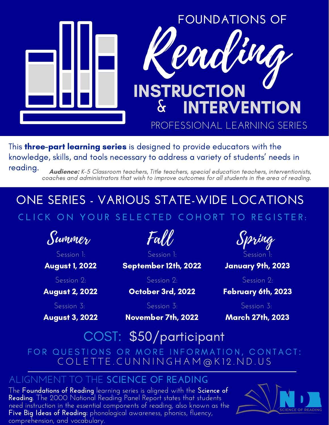

This **three-part learning series** is designed to provide educators with the knowledge, skills, and tools necessary to address a variety of students' needs in reading.

**Audience:** K-5 Classroom teachers, Title teachers, special education teachers, interventionists, coaches and administrators that wish to improve outcomes for all students in the area of reading.

## **ONE SERIES - VARIOUS STATE-WIDE LOCATIONS** CLICK ON YOUR SELECTED COHORT TO REGISTER:

[Summer](https://ndregionaleducation.growthzoneapp.com/ap/Events/Register/DpBo2wvP?mode=Attendee)

[Session](https://ndregionaleducation.growthzoneapp.com/ap/Events/Register/DpBo2wvP?mode=Attendee) 1:

[August 1, 2022](https://ndregionaleducation.growthzoneapp.com/ap/Events/Register/DpBo2wvP?mode=Attendee)

[Session](https://ndregionaleducation.growthzoneapp.com/ap/Events/Register/DpBo2wvP?mode=Attendee) 2:

[August 2, 2022](https://ndregionaleducation.growthzoneapp.com/ap/Events/Register/DpBo2wvP?mode=Attendee)

[Session](https://ndregionaleducation.growthzoneapp.com/ap/Events/Register/DpBo2wvP?mode=Attendee) 3[:](https://ndregionaleducation.growthzoneapp.com/ap/Events/Register/DpBo2wvP?mode=Attendee)

[August 3, 2022](https://ndregionaleducation.growthzoneapp.com/ap/Events/Register/DpBo2wvP?mode=Attendee)

[Fall](https://ndregionaleducation.growthzoneapp.com/ap/Events/Register/ep0q6W1P?mode=Attendee)

[Session](https://ndregionaleducation.growthzoneapp.com/ap/Events/Register/ep0q6W1P?mode=Attendee) 1:

[September 12th, 2022](https://ndregionaleducation.growthzoneapp.com/ap/Events/Register/ep0q6W1P?mode=Attendee)

[Session](https://ndregionaleducation.growthzoneapp.com/ap/Events/Register/ep0q6W1P?mode=Attendee) 2:

[October](https://ndregionaleducation.growthzoneapp.com/ap/Events/Register/ep0q6W1P?mode=Attendee) [3rd, 2022](https://ndregionaleducation.growthzoneapp.com/ap/Events/Register/ep0q6W1P?mode=Attendee)

[Session](https://ndregionaleducation.growthzoneapp.com/ap/Events/Register/ep0q6W1P?mode=Attendee) 3:

[November 7th, 2022](https://ndregionaleducation.growthzoneapp.com/ap/Events/Register/ep0q6W1P?mode=Attendee)



[January 9th, 2023](https://ndregionaleducation.growthzoneapp.com/ap/Events/Register/jpG5089L?mode=Attendee)

[Session](https://ndregionaleducation.growthzoneapp.com/ap/Events/Register/jpG5089L?mode=Attendee) 2:

[February 6th, 2023](https://ndregionaleducation.growthzoneapp.com/ap/Events/Register/jpG5089L?mode=Attendee)

[Session](https://ndregionaleducation.growthzoneapp.com/ap/Events/Register/jpG5089L?mode=Attendee) 3[:](https://ndregionaleducation.growthzoneapp.com/ap/Events/Register/jpG5089L?mode=Attendee)

[March 27th, 2023](https://ndregionaleducation.growthzoneapp.com/ap/Events/Register/jpG5089L?mode=Attendee)

COST: \$50/participant

FOR QUESTIONS OR MORE INFORMATION, CONTACT: C O L E T T E . C U N N I N G H A M @ K 1 2 . N D . U S

## ALIGNMENT TO THE **SCIENCE OF READING**

The **Foundations of Reading** learning series is aligned with the **Science of Reading**. The 2000 National Reading Panel Report states that students need instruction in the essential components of reading, also known as the **Five Big Ideas of Reading:** phonological awareness, phonics, fluency, comprehension, and vocabulary.